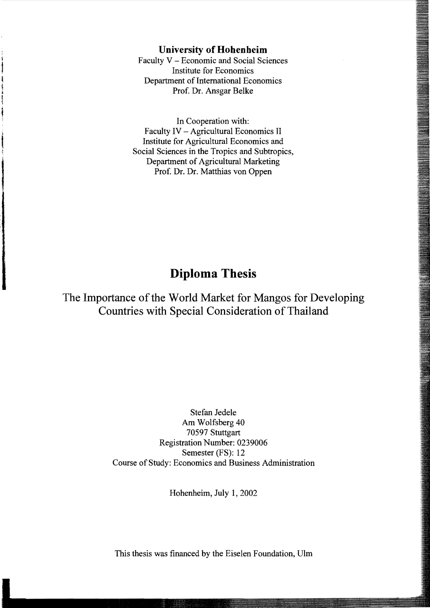## **University of Hohenheim**

Faculty V - Economic and Social Sciences Institute for Economics Department of International Economics Prof. Dr. Ansgar Belke

In Cooperation with: Faculty IV - Agricultural Economics II Institute for Agricultural Economics and Social Sciences in the Tropics and Subtropics, Department of Agricultural Marketing Prof. Dr. Dr. Matthias von Oppen

## **Diploma Thesis**

The Importance of the World Market for Mangos for Developing Countries with Special Consideration of Thailand

> Stefan Jedele Am Wolfsberg 40 70597 Stuttgart Registration Number: 0239006 Semester (FS): 12 Course of Study: Economics and Business Administration

> > Hohenheim, July 1, 2002

This thesis was financed by the Eiselen Foundation, Olm